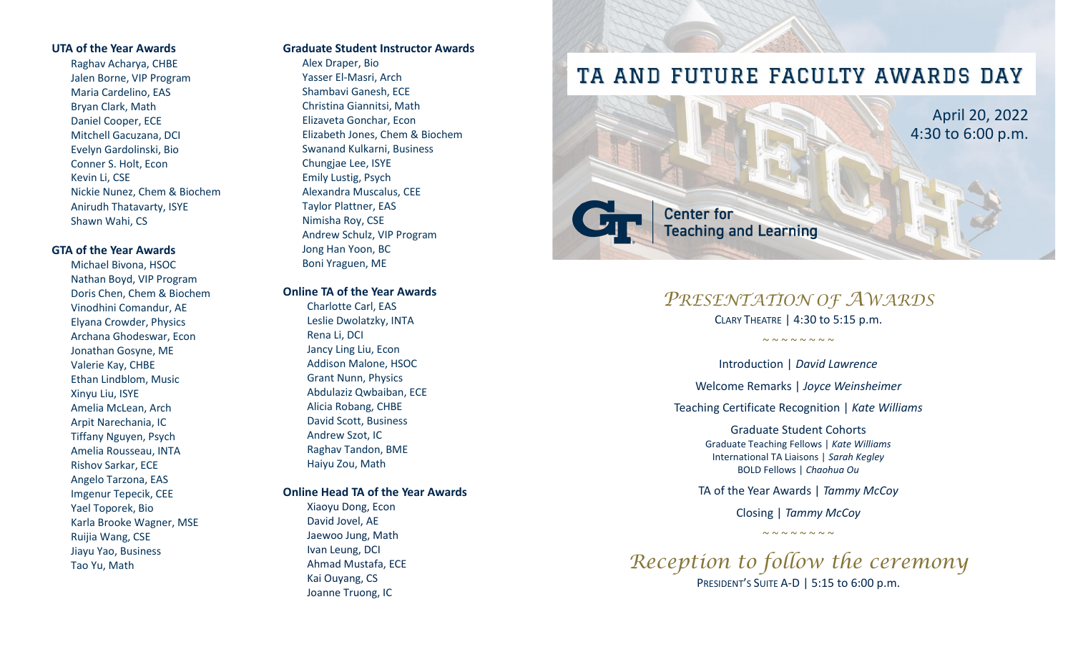#### **UTA of the Year Awards**

Raghav Acharya, CHBE Jalen Borne, VIP Program Maria Cardelino, EAS Bryan Clark, Math Daniel Cooper, ECE Mitchell Gacuzana, DCI Evelyn Gardolinski, Bio Conner S. Holt, Econ Kevin Li, CSE Nickie Nunez, Chem & Biochem Anirudh Thatavarty, ISYE Shawn Wahi, CS

# **GTA of the Year Awards**

Michael Bivona, HSOC Nathan Boyd, VIP Program Doris Chen, Chem & Biochem Vinodhini Comandur, AE Elyana Crowder, Physics Archana Ghodeswar, Econ Jonathan Gosyne, ME Valerie Kay, CHBE Ethan Lindblom, Music Xinyu Liu, ISYE Amelia McLean, Arch Arpit Narechania, IC Tiffany Nguyen, Psych Amelia Rousseau, INTA Rishov Sarkar, ECE Angelo Tarzona, EAS Imgenur Tepecik, CEE Yael Toporek, Bio Karla Brooke Wagner, MSE Ruijia Wang, CSE Jiayu Yao, Business Tao Yu, Math

### **Graduate Student Instructor Awards**

Alex Draper, Bio Yasser El -Masri, Arch Shambavi Ganesh, ECE Christina Giannitsi, Math Elizaveta Gonchar, Econ Elizabeth Jones, Chem & Biochem Swanand Kulkarni, Business Chungjae Lee, ISYE Emily Lustig, Psych Alexandra Muscalus, CEE Taylor Plattner, EAS Nimisha Roy, CSE Andrew Schulz, VIP Program Jong Han Yoon, BC Boni Yraguen, ME

#### **Online TA of the Year Awards**

Charlotte Carl, EAS Leslie Dwolatzky, INTA Rena Li, DCI Jancy Ling Liu, Econ Addison Malone, HSOC Grant Nunn, Physics Abdulaziz Qwbaiban, ECE Alicia Robang, CHBE David Scott, Business Andrew Szot, IC Raghav Tandon, BME Haiyu Zou, Math

# **Online Head TA of the Year Awards**

Xiaoyu Dong, Econ David Jovel, AE Jaewoo Jung, Math Ivan Leung, DCI Ahmad Mustafa, ECE Kai Ouyang, CS Joanne Truong, IC

# TA AND FUTURE FACULTY AWARDS DAY



# *PRESENTATION OF AWARDS*

CLARY THEATR E | 4:30 to 5:15 p.m.

 $\sim$   $\sim$   $\sim$   $\sim$   $\sim$   $\sim$   $\sim$ 

Introduction | *David Lawrence*

Welcome Remarks | *Joyce Weinsheimer*

Teaching Certificate Recognition | *Kate Williams*

Graduate Student Cohorts Graduate Teaching Fellows | *Kate Williams* International TA Liaisons | *Sarah Kegley* BOLD Fellows | *Chaohua O u*

TA of the Year Awards | *Tammy McCoy*

Closing | *Tammy McCoy*  $\sim$   $\sim$   $\sim$   $\sim$   $\sim$   $\sim$   $\sim$ 

*Reception to follow the ceremony* PRESIDENT'S SUITE A-D | 5:15 to 6:00 p.m.